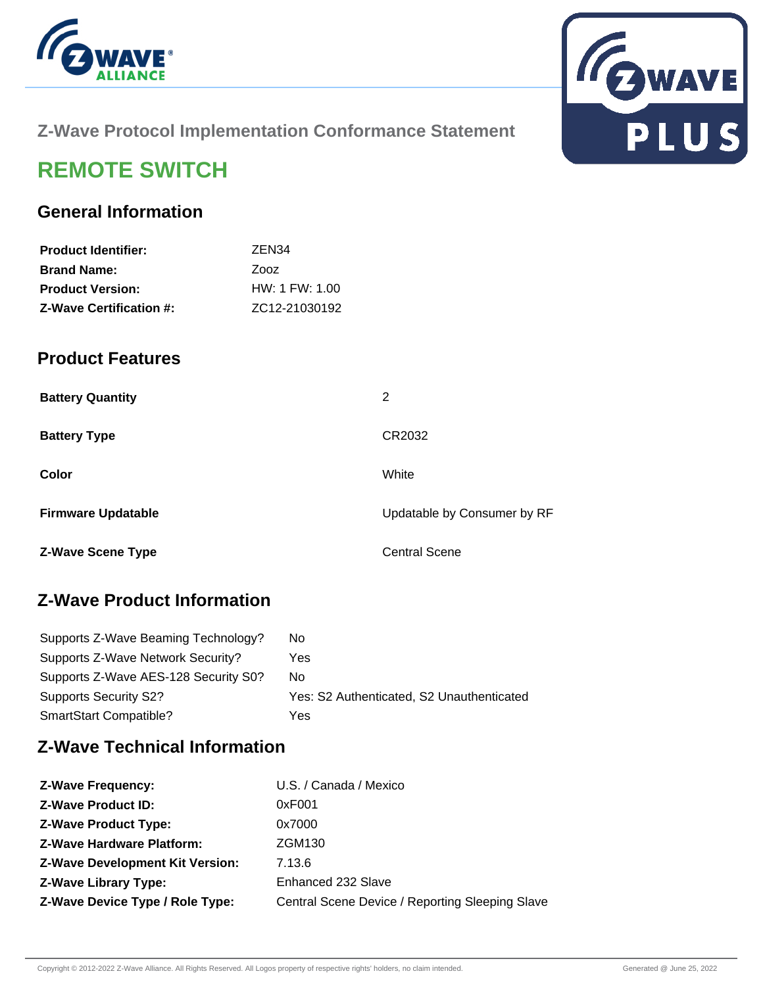



## **Z-Wave Protocol Implementation Conformance Statement**

# **REMOTE SWITCH**

## **General Information**

| <b>Product Identifier:</b>     | ZEN <sub>34</sub> |
|--------------------------------|-------------------|
| <b>Brand Name:</b>             | Zooz              |
| <b>Product Version:</b>        | HW: 1 FW: 1.00    |
| <b>Z-Wave Certification #:</b> | ZC12-21030192     |

#### **Product Features**

| <b>Battery Quantity</b>   | 2                           |
|---------------------------|-----------------------------|
| <b>Battery Type</b>       | CR2032                      |
| Color                     | White                       |
| <b>Firmware Updatable</b> | Updatable by Consumer by RF |
| <b>Z-Wave Scene Type</b>  | <b>Central Scene</b>        |

## **Z-Wave Product Information**

| Supports Z-Wave Beaming Technology?  | No.                                       |
|--------------------------------------|-------------------------------------------|
| Supports Z-Wave Network Security?    | Yes                                       |
| Supports Z-Wave AES-128 Security S0? | No.                                       |
| Supports Security S2?                | Yes: S2 Authenticated, S2 Unauthenticated |
| SmartStart Compatible?               | Yes                                       |

#### **Z-Wave Technical Information**

| <b>Z-Wave Frequency:</b>               | U.S. / Canada / Mexico                          |
|----------------------------------------|-------------------------------------------------|
| <b>Z-Wave Product ID:</b>              | 0xF001                                          |
| <b>Z-Wave Product Type:</b>            | 0x7000                                          |
| <b>Z-Wave Hardware Platform:</b>       | ZGM130                                          |
| <b>Z-Wave Development Kit Version:</b> | 7.13.6                                          |
| <b>Z-Wave Library Type:</b>            | Enhanced 232 Slave                              |
| Z-Wave Device Type / Role Type:        | Central Scene Device / Reporting Sleeping Slave |
|                                        |                                                 |